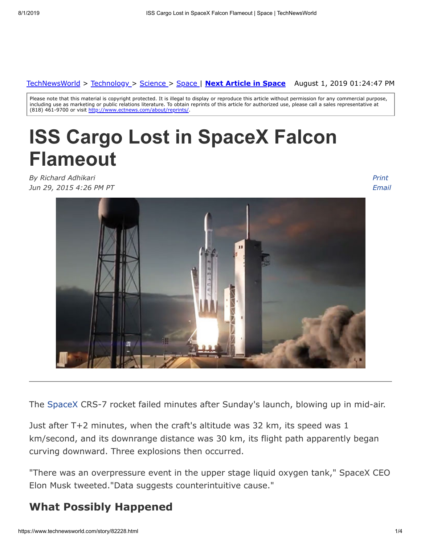#### August 1, 2019 01:24:47 PM [TechNewsWorld](https://www.technewsworld.com/) > [Technology](https://www.technewsworld.com/perl/section/technology/) > [Science](https://www.technewsworld.com/perl/section/science/) > [Space](https://www.technewsworld.com/perl/section/space/) | **[Next Article in Space](https://www.technewsworld.com/story/space/82070.html)**

Please note that this material is copyright protected. It is illegal to display or reproduce this article without permission for any commercial purpose, including use as marketing or public relations literature. To obtain reprints of this article for authorized use, please call a sales representative at (818) 461-9700 or visit <http://www.ectnews.com/about/reprints/>

# **ISS Cargo Lost in SpaceX Falcon Flameout**

*By Richard Adhikari Jun 29, 2015 4:26 PM PT* *Print [Email](https://www.technewsworld.com/perl/mailit/?id=82228)*



The [SpaceX](http://www.spacex.com/) CRS-7 rocket failed minutes after Sunday's launch, blowing up in mid-air.

Just after T+2 minutes, when the craft's altitude was 32 km, its speed was 1 km/second, and its downrange distance was 30 km, its flight path apparently began curving downward. Three explosions then occurred.

"There was an overpressure event in the upper stage liquid oxygen tank," SpaceX CEO Elon Musk tweeted."Data suggests counterintuitive cause."

#### **What Possibly Happened**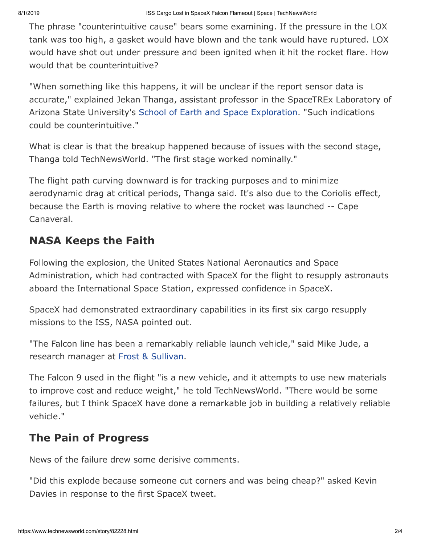The phrase "counterintuitive cause" bears some examining. If the pressure in the LOX tank was too high, a gasket would have blown and the tank would have ruptured. LOX would have shot out under pressure and been ignited when it hit the rocket flare. How would that be counterintuitive?

"When something like this happens, it will be unclear if the report sensor data is accurate," explained Jekan Thanga, assistant professor in the SpaceTREx Laboratory of Arizona State University's [School of Earth and Space Exploration.](http://sese.asu.edu/) "Such indications could be counterintuitive."

What is clear is that the breakup happened because of issues with the second stage, Thanga told TechNewsWorld. "The first stage worked nominally."

The flight path curving downward is for tracking purposes and to minimize aerodynamic drag at critical periods, Thanga said. It's also due to the Coriolis effect, because the Earth is moving relative to where the rocket was launched -- Cape Canaveral.

### **NASA Keeps the Faith**

Following the explosion, the United States National Aeronautics and Space Administration, which had contracted with SpaceX for the flight to resupply astronauts aboard the International Space Station, expressed confidence in SpaceX.

SpaceX had demonstrated extraordinary capabilities in its first six cargo resupply missions to the ISS, NASA pointed out.

"The Falcon line has been a remarkably reliable launch vehicle," said Mike Jude, a research manager at [Frost & Sullivan.](http://www.frost.com/)

The Falcon 9 used in the flight "is a new vehicle, and it attempts to use new materials to improve cost and reduce weight," he told TechNewsWorld. "There would be some failures, but I think SpaceX have done a remarkable job in building a relatively reliable vehicle."

#### **The Pain of Progress**

News of the failure drew some derisive comments.

"Did this explode because someone cut corners and was being cheap?" asked Kevin Davies in response to the first SpaceX tweet.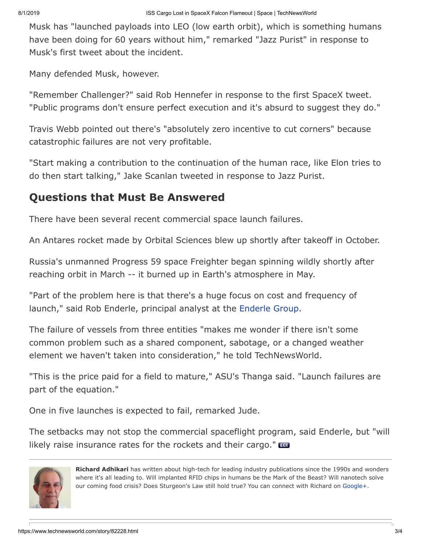Musk has "launched payloads into LEO (low earth orbit), which is something humans have been doing for 60 years without him," remarked "Jazz Purist" in response to Musk's first tweet about the incident.

Many defended Musk, however.

"Remember Challenger?" said Rob Hennefer in response to the first SpaceX tweet. "Public programs don't ensure perfect execution and it's absurd to suggest they do."

Travis Webb pointed out there's "absolutely zero incentive to cut corners" because catastrophic failures are not very profitable.

"Start making a contribution to the continuation of the human race, like Elon tries to do then start talking," Jake Scanlan tweeted in response to Jazz Purist.

#### **Questions that Must Be Answered**

There have been several recent commercial space launch failures.

An Antares rocket made by Orbital Sciences blew up shortly after takeoff in October.

Russia's unmanned Progress 59 space Freighter began spinning wildly shortly after reaching orbit in March -- it burned up in Earth's atmosphere in May.

"Part of the problem here is that there's a huge focus on cost and frequency of launch," said Rob Enderle, principal analyst at the [Enderle Group.](http://www.enderlegroup.com/)

The failure of vessels from three entities "makes me wonder if there isn't some common problem such as a shared component, sabotage, or a changed weather element we haven't taken into consideration," he told TechNewsWorld.

"This is the price paid for a field to mature," ASU's Thanga said. "Launch failures are part of the equation."

One in five launches is expected to fail, remarked Jude.

The setbacks may not stop the commercial spaceflight program, said Enderle, but "will likely raise insurance rates for the rockets and their cargo."



**Richard Adhikari** has written about high-tech for leading industry publications since the 1990s and wonders where it's all leading to. Will implanted RFID chips in humans be the Mark of the Beast? Will nanotech solve our coming food crisis? Does Sturgeon's Law still hold true? You can connect with Richard on [Google+](https://plus.google.com/107929967509861891695?rel=author).